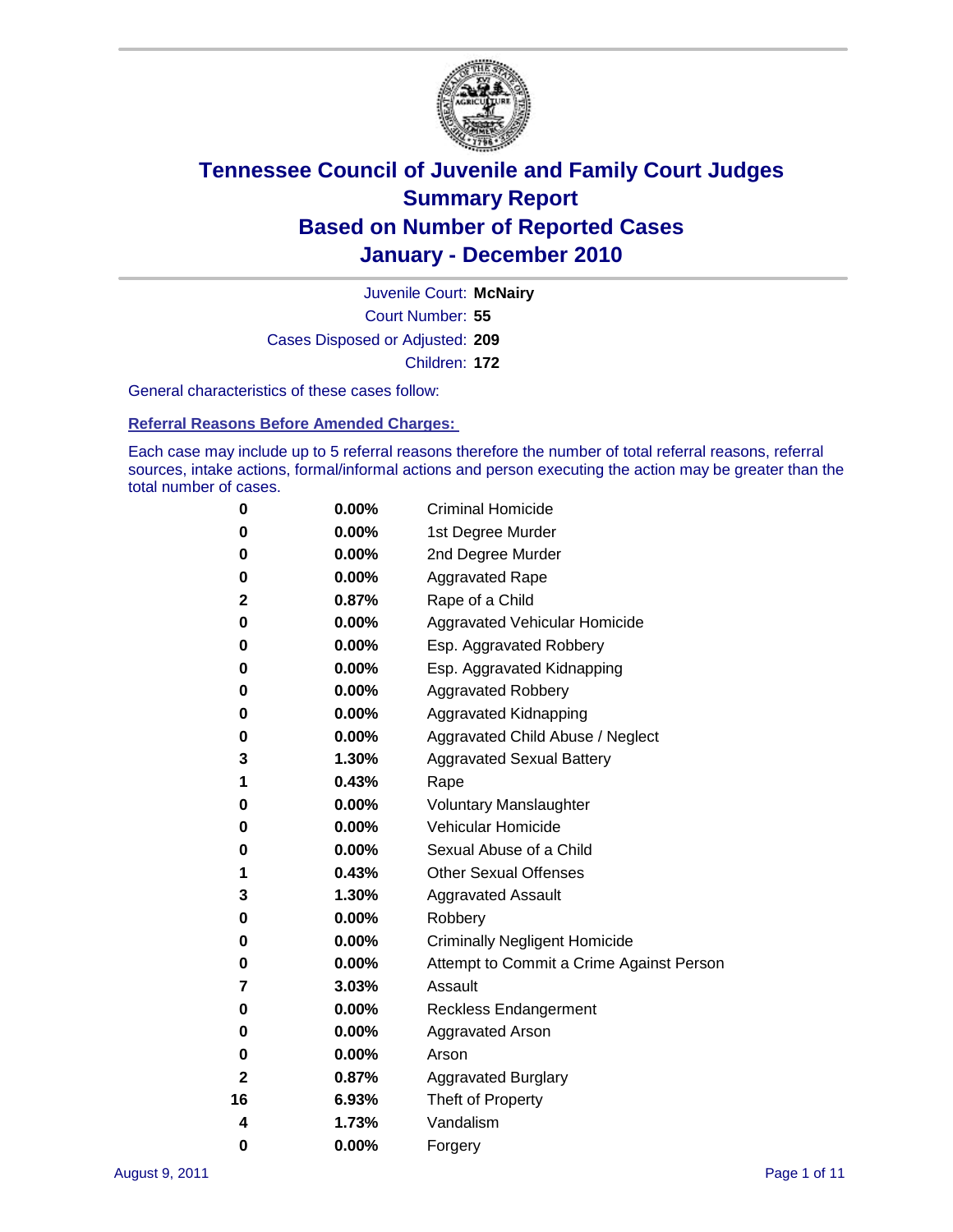

Court Number: **55** Juvenile Court: **McNairy** Cases Disposed or Adjusted: **209** Children: **172**

General characteristics of these cases follow:

**Referral Reasons Before Amended Charges:** 

Each case may include up to 5 referral reasons therefore the number of total referral reasons, referral sources, intake actions, formal/informal actions and person executing the action may be greater than the total number of cases.

| 0  | 0.00%    | <b>Criminal Homicide</b>                 |
|----|----------|------------------------------------------|
| 0  | 0.00%    | 1st Degree Murder                        |
| 0  | 0.00%    | 2nd Degree Murder                        |
| 0  | 0.00%    | <b>Aggravated Rape</b>                   |
| 2  | 0.87%    | Rape of a Child                          |
| 0  | 0.00%    | Aggravated Vehicular Homicide            |
| 0  | 0.00%    | Esp. Aggravated Robbery                  |
| 0  | 0.00%    | Esp. Aggravated Kidnapping               |
| 0  | 0.00%    | <b>Aggravated Robbery</b>                |
| 0  | 0.00%    | Aggravated Kidnapping                    |
| 0  | 0.00%    | Aggravated Child Abuse / Neglect         |
| 3  | 1.30%    | <b>Aggravated Sexual Battery</b>         |
| 1  | 0.43%    | Rape                                     |
| 0  | $0.00\%$ | <b>Voluntary Manslaughter</b>            |
| 0  | 0.00%    | Vehicular Homicide                       |
| 0  | 0.00%    | Sexual Abuse of a Child                  |
| 1  | 0.43%    | <b>Other Sexual Offenses</b>             |
| 3  | 1.30%    | <b>Aggravated Assault</b>                |
| 0  | $0.00\%$ | Robbery                                  |
| 0  | 0.00%    | <b>Criminally Negligent Homicide</b>     |
| 0  | 0.00%    | Attempt to Commit a Crime Against Person |
| 7  | 3.03%    | Assault                                  |
| 0  | 0.00%    | <b>Reckless Endangerment</b>             |
| 0  | 0.00%    | <b>Aggravated Arson</b>                  |
| 0  | 0.00%    | Arson                                    |
| 2  | 0.87%    | <b>Aggravated Burglary</b>               |
| 16 | 6.93%    | Theft of Property                        |
| 4  | 1.73%    | Vandalism                                |
| 0  | 0.00%    | Forgery                                  |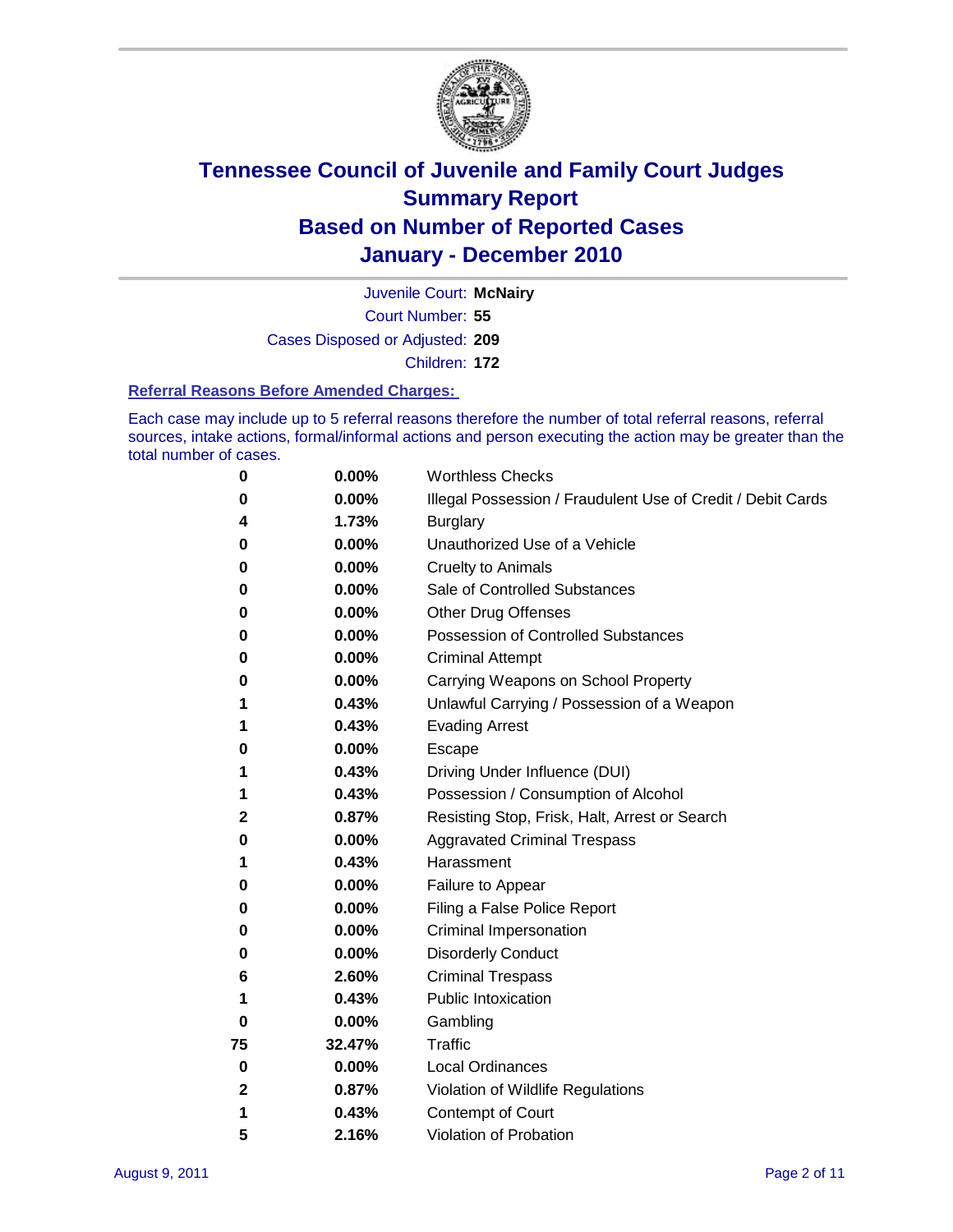

Court Number: **55** Juvenile Court: **McNairy** Cases Disposed or Adjusted: **209** Children: **172**

#### **Referral Reasons Before Amended Charges:**

Each case may include up to 5 referral reasons therefore the number of total referral reasons, referral sources, intake actions, formal/informal actions and person executing the action may be greater than the total number of cases.

| 0            | 0.00%  | <b>Worthless Checks</b>                                     |
|--------------|--------|-------------------------------------------------------------|
| 0            | 0.00%  | Illegal Possession / Fraudulent Use of Credit / Debit Cards |
| 4            | 1.73%  | <b>Burglary</b>                                             |
| 0            | 0.00%  | Unauthorized Use of a Vehicle                               |
| 0            | 0.00%  | <b>Cruelty to Animals</b>                                   |
| 0            | 0.00%  | Sale of Controlled Substances                               |
| 0            | 0.00%  | <b>Other Drug Offenses</b>                                  |
| 0            | 0.00%  | <b>Possession of Controlled Substances</b>                  |
| 0            | 0.00%  | <b>Criminal Attempt</b>                                     |
| 0            | 0.00%  | Carrying Weapons on School Property                         |
| 1            | 0.43%  | Unlawful Carrying / Possession of a Weapon                  |
| 1            | 0.43%  | <b>Evading Arrest</b>                                       |
| 0            | 0.00%  | Escape                                                      |
| 1            | 0.43%  | Driving Under Influence (DUI)                               |
| 1            | 0.43%  | Possession / Consumption of Alcohol                         |
| 2            | 0.87%  | Resisting Stop, Frisk, Halt, Arrest or Search               |
| 0            | 0.00%  | <b>Aggravated Criminal Trespass</b>                         |
| 1            | 0.43%  | Harassment                                                  |
| 0            | 0.00%  | Failure to Appear                                           |
| 0            | 0.00%  | Filing a False Police Report                                |
| 0            | 0.00%  | Criminal Impersonation                                      |
| 0            | 0.00%  | <b>Disorderly Conduct</b>                                   |
| 6            | 2.60%  | <b>Criminal Trespass</b>                                    |
| 1            | 0.43%  | <b>Public Intoxication</b>                                  |
| 0            | 0.00%  | Gambling                                                    |
| 75           | 32.47% | <b>Traffic</b>                                              |
| 0            | 0.00%  | <b>Local Ordinances</b>                                     |
| $\mathbf{2}$ | 0.87%  | Violation of Wildlife Regulations                           |
| 1            | 0.43%  | Contempt of Court                                           |
| 5            | 2.16%  | Violation of Probation                                      |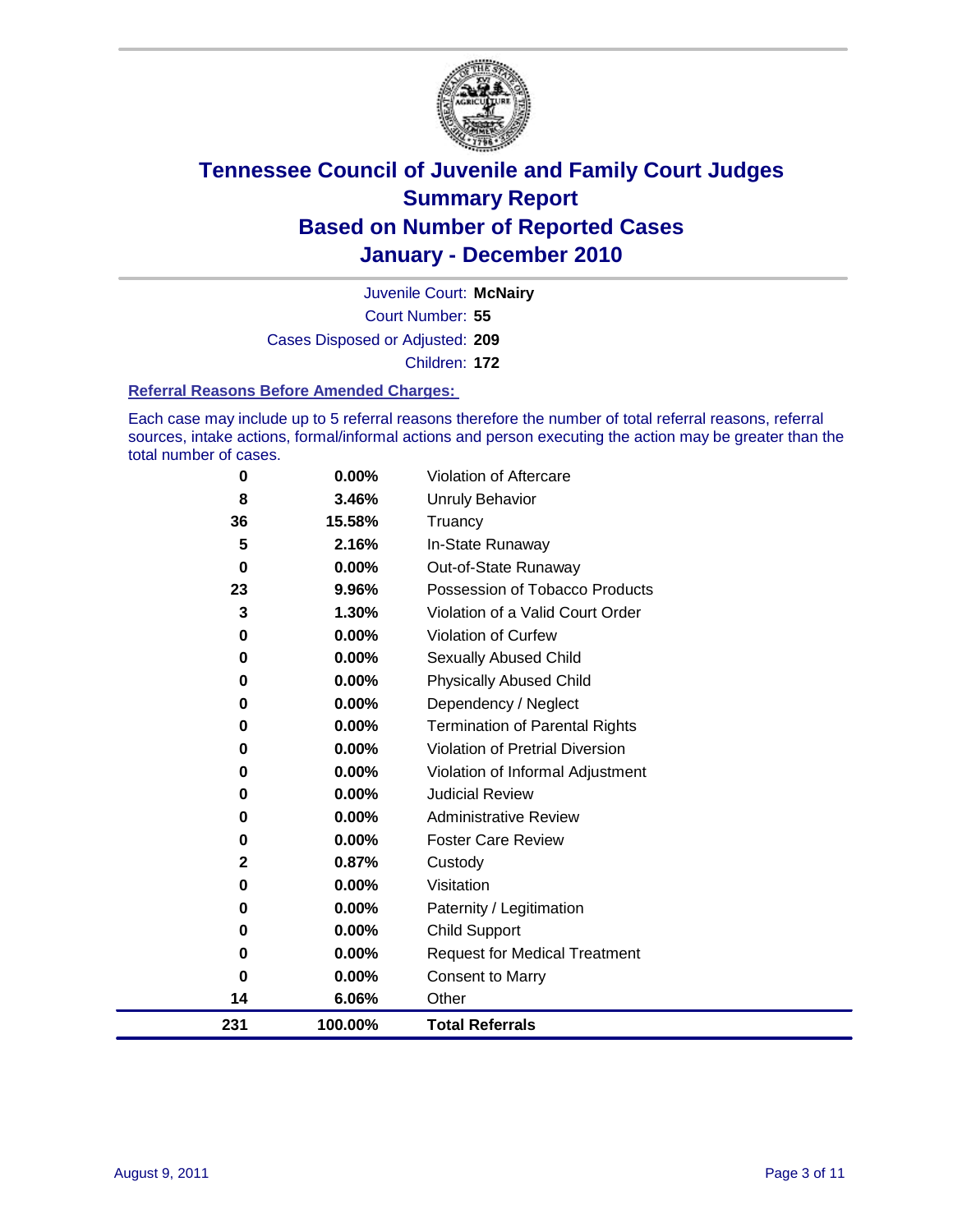

Court Number: **55** Juvenile Court: **McNairy** Cases Disposed or Adjusted: **209** Children: **172**

#### **Referral Reasons Before Amended Charges:**

Each case may include up to 5 referral reasons therefore the number of total referral reasons, referral sources, intake actions, formal/informal actions and person executing the action may be greater than the total number of cases.

| 0        | 0.00%    | Violation of Aftercare                 |
|----------|----------|----------------------------------------|
| 8        | 3.46%    | <b>Unruly Behavior</b>                 |
| 36       | 15.58%   | Truancy                                |
| 5        | 2.16%    | In-State Runaway                       |
| $\bf{0}$ | 0.00%    | Out-of-State Runaway                   |
| 23       | 9.96%    | Possession of Tobacco Products         |
| 3        | 1.30%    | Violation of a Valid Court Order       |
| 0        | 0.00%    | Violation of Curfew                    |
| 0        | $0.00\%$ | Sexually Abused Child                  |
| 0        | 0.00%    | <b>Physically Abused Child</b>         |
| 0        | 0.00%    | Dependency / Neglect                   |
| 0        | 0.00%    | <b>Termination of Parental Rights</b>  |
| 0        | $0.00\%$ | <b>Violation of Pretrial Diversion</b> |
| 0        | 0.00%    | Violation of Informal Adjustment       |
| 0        | $0.00\%$ | <b>Judicial Review</b>                 |
| 0        | $0.00\%$ | <b>Administrative Review</b>           |
| 0        | $0.00\%$ | <b>Foster Care Review</b>              |
| 2        | 0.87%    | Custody                                |
| 0        | 0.00%    | Visitation                             |
| 0        | 0.00%    | Paternity / Legitimation               |
| 0        | 0.00%    | <b>Child Support</b>                   |
| 0        | 0.00%    | <b>Request for Medical Treatment</b>   |
| 0        | 0.00%    | <b>Consent to Marry</b>                |
| 14       | 6.06%    | Other                                  |
| 231      | 100.00%  | <b>Total Referrals</b>                 |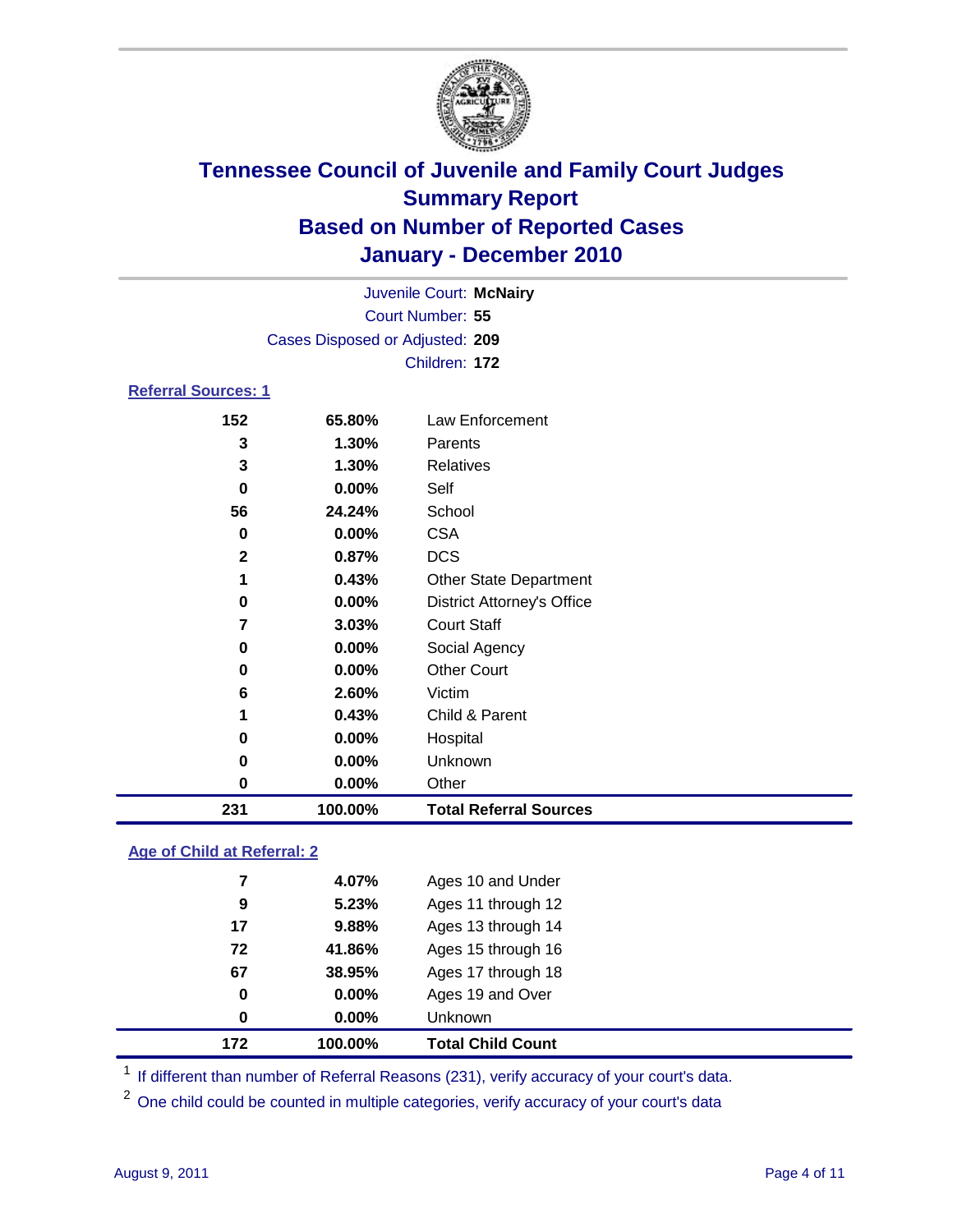

|                            |                                 | Juvenile Court: McNairy           |  |  |
|----------------------------|---------------------------------|-----------------------------------|--|--|
| Court Number: 55           |                                 |                                   |  |  |
|                            | Cases Disposed or Adjusted: 209 |                                   |  |  |
|                            |                                 | Children: 172                     |  |  |
| <b>Referral Sources: 1</b> |                                 |                                   |  |  |
| 152                        | 65.80%                          | <b>Law Enforcement</b>            |  |  |
| 3                          | 1.30%                           | Parents                           |  |  |
| 3                          | 1.30%                           | <b>Relatives</b>                  |  |  |
| 0                          | $0.00\%$                        | Self                              |  |  |
| 56                         | 24.24%                          | School                            |  |  |
| 0                          | $0.00\%$                        | <b>CSA</b>                        |  |  |
| $\mathbf{2}$               | 0.87%                           | <b>DCS</b>                        |  |  |
| 1                          | 0.43%                           | <b>Other State Department</b>     |  |  |
| 0                          | $0.00\%$                        | <b>District Attorney's Office</b> |  |  |
| 7                          | 3.03%                           | <b>Court Staff</b>                |  |  |
| 0                          | $0.00\%$                        | Social Agency                     |  |  |
| 0                          | $0.00\%$                        | <b>Other Court</b>                |  |  |
| 6                          | 2.60%                           | Victim                            |  |  |
| 1                          | 0.43%                           | Child & Parent                    |  |  |
| 0                          | $0.00\%$                        | Hospital                          |  |  |
| 0                          | $0.00\%$                        | Unknown                           |  |  |
| 0                          | $0.00\%$                        | Other                             |  |  |

### **Age of Child at Referral: 2**

| 172 | 100.00%    | <b>Total Child Count</b> |
|-----|------------|--------------------------|
|     | 0.00%<br>0 | <b>Unknown</b>           |
|     | 0<br>0.00% | Ages 19 and Over         |
| 67  | 38.95%     | Ages 17 through 18       |
| 72  | 41.86%     | Ages 15 through 16       |
| 17  | 9.88%      | Ages 13 through 14       |
|     | 5.23%<br>9 | Ages 11 through 12       |
|     | 7<br>4.07% | Ages 10 and Under        |
|     |            |                          |

<sup>1</sup> If different than number of Referral Reasons (231), verify accuracy of your court's data.

**100.00% Total Referral Sources**

<sup>2</sup> One child could be counted in multiple categories, verify accuracy of your court's data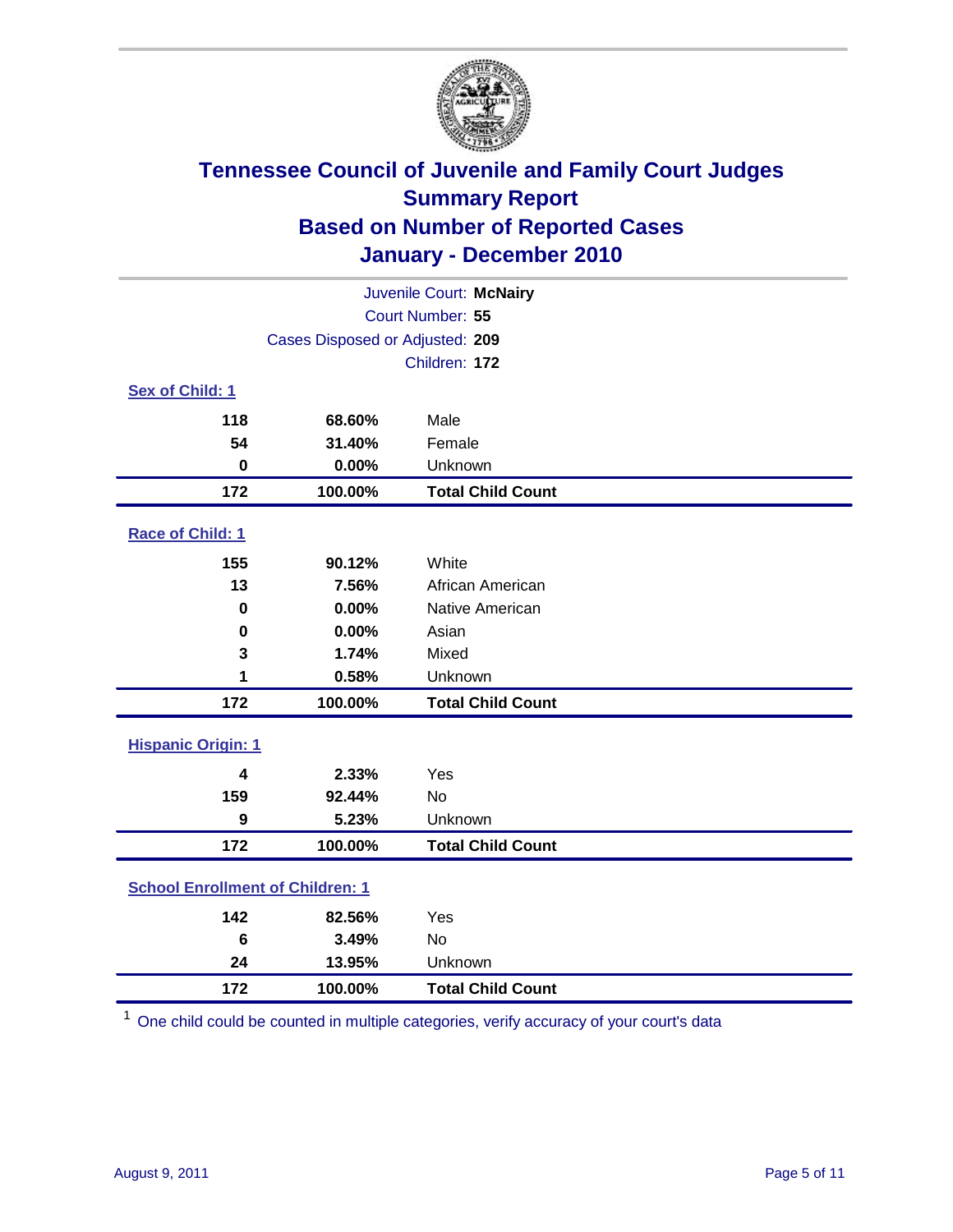

| Juvenile Court: McNairy                 |                                 |                          |  |  |
|-----------------------------------------|---------------------------------|--------------------------|--|--|
|                                         | Court Number: 55                |                          |  |  |
|                                         | Cases Disposed or Adjusted: 209 |                          |  |  |
|                                         |                                 | Children: 172            |  |  |
| Sex of Child: 1                         |                                 |                          |  |  |
| 118                                     | 68.60%                          | Male                     |  |  |
| 54                                      | 31.40%                          | Female                   |  |  |
| $\bf{0}$                                | 0.00%                           | Unknown                  |  |  |
| 172                                     | 100.00%                         | <b>Total Child Count</b> |  |  |
| Race of Child: 1                        |                                 |                          |  |  |
| 155                                     | 90.12%                          | White                    |  |  |
| 13                                      | 7.56%                           | African American         |  |  |
| 0                                       | 0.00%                           | Native American          |  |  |
| $\mathbf 0$                             | 0.00%                           | Asian                    |  |  |
| 3                                       | 1.74%                           | Mixed                    |  |  |
| 1                                       | 0.58%                           | Unknown                  |  |  |
| 172                                     | 100.00%                         | <b>Total Child Count</b> |  |  |
| <b>Hispanic Origin: 1</b>               |                                 |                          |  |  |
| 4                                       | 2.33%                           | Yes                      |  |  |
| 159                                     | 92.44%                          | <b>No</b>                |  |  |
| 9                                       | 5.23%                           | Unknown                  |  |  |
| 172                                     | 100.00%                         | <b>Total Child Count</b> |  |  |
| <b>School Enrollment of Children: 1</b> |                                 |                          |  |  |
| 142                                     | 82.56%                          | Yes                      |  |  |
| 6                                       | 3.49%                           | No                       |  |  |
| 24                                      | 13.95%                          | Unknown                  |  |  |
| 172                                     | 100.00%                         | <b>Total Child Count</b> |  |  |

One child could be counted in multiple categories, verify accuracy of your court's data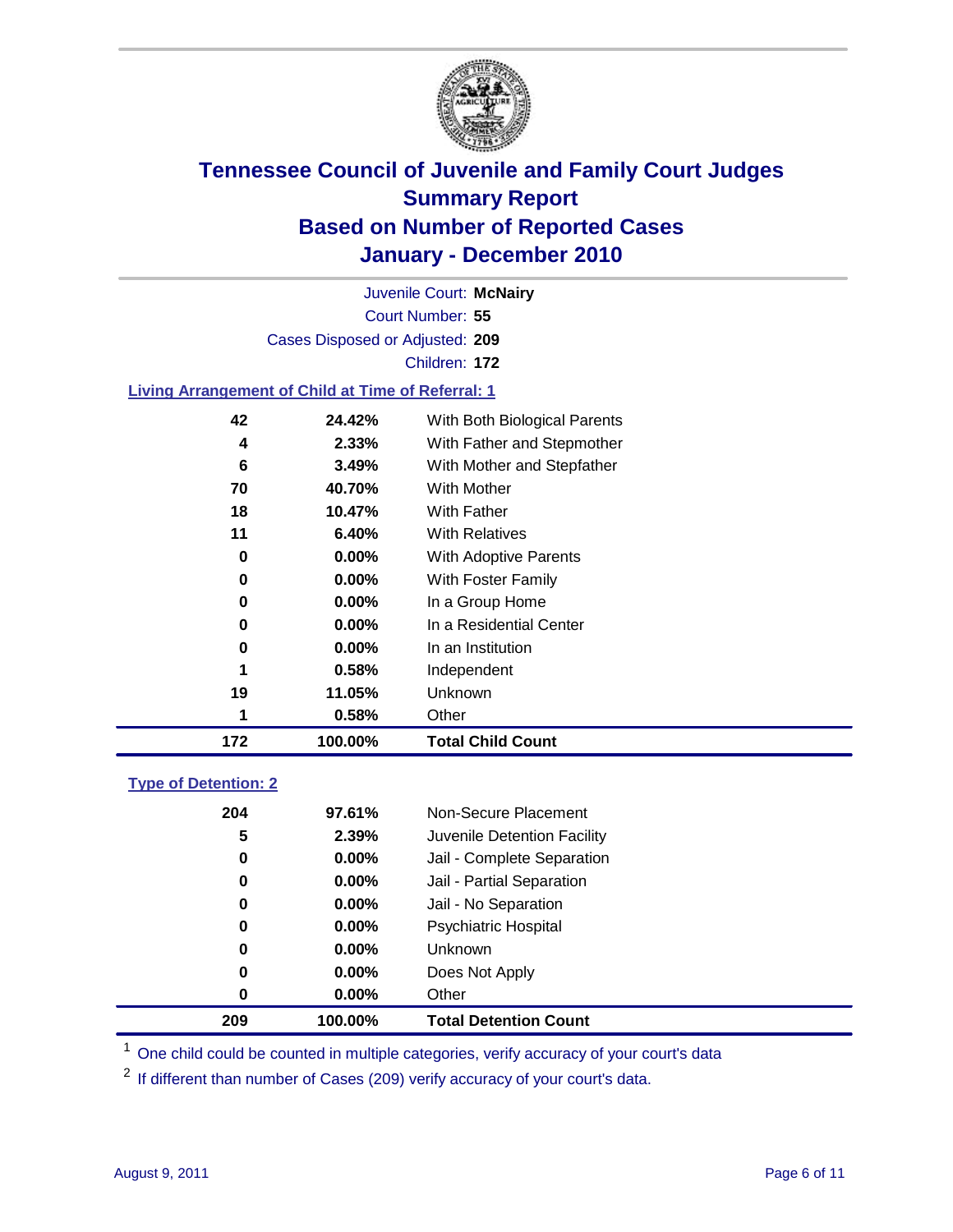

Court Number: **55** Juvenile Court: **McNairy** Cases Disposed or Adjusted: **209** Children: **172**

#### **Living Arrangement of Child at Time of Referral: 1**

| 172 | 100.00%  | <b>Total Child Count</b>     |
|-----|----------|------------------------------|
| 1   | 0.58%    | Other                        |
| 19  | 11.05%   | Unknown                      |
| 1   | 0.58%    | Independent                  |
| 0   | $0.00\%$ | In an Institution            |
| 0   | $0.00\%$ | In a Residential Center      |
| 0   | $0.00\%$ | In a Group Home              |
| 0   | $0.00\%$ | With Foster Family           |
| 0   | $0.00\%$ | With Adoptive Parents        |
| 11  | 6.40%    | <b>With Relatives</b>        |
| 18  | 10.47%   | With Father                  |
| 70  | 40.70%   | <b>With Mother</b>           |
| 6   | 3.49%    | With Mother and Stepfather   |
| 4   | 2.33%    | With Father and Stepmother   |
| 42  | 24.42%   | With Both Biological Parents |
|     |          |                              |

### **Type of Detention: 2**

| 209 | 100.00%  | <b>Total Detention Count</b> |
|-----|----------|------------------------------|
| 0   | $0.00\%$ | Other                        |
| 0   | $0.00\%$ | Does Not Apply               |
| 0   | $0.00\%$ | Unknown                      |
| 0   | $0.00\%$ | Psychiatric Hospital         |
| 0   | 0.00%    | Jail - No Separation         |
| 0   | $0.00\%$ | Jail - Partial Separation    |
| 0   | 0.00%    | Jail - Complete Separation   |
| 5   | 2.39%    | Juvenile Detention Facility  |
| 204 | 97.61%   | Non-Secure Placement         |
|     |          |                              |

<sup>1</sup> One child could be counted in multiple categories, verify accuracy of your court's data

<sup>2</sup> If different than number of Cases (209) verify accuracy of your court's data.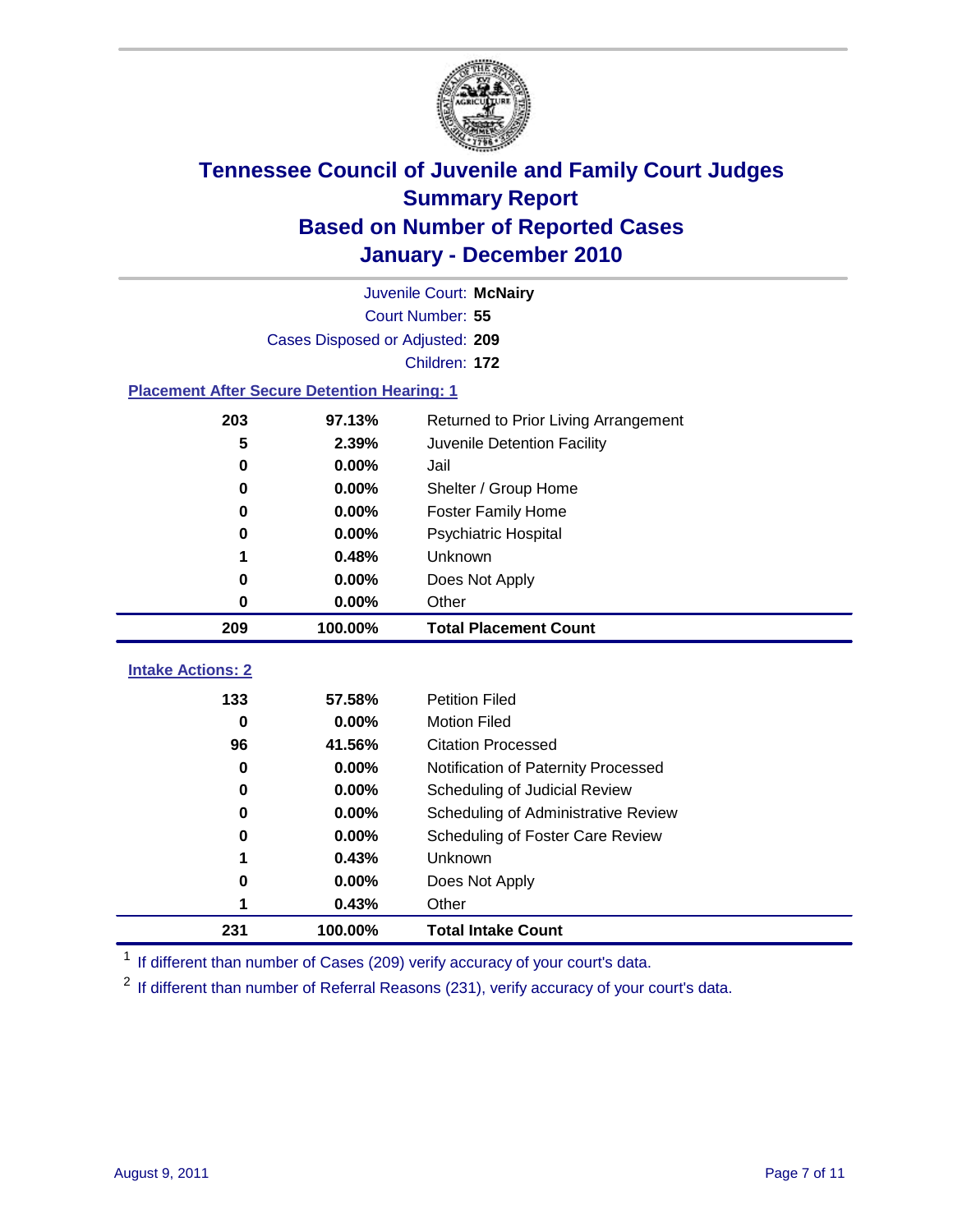

|                                                    | Juvenile Court: McNairy         |                                      |  |  |  |
|----------------------------------------------------|---------------------------------|--------------------------------------|--|--|--|
|                                                    | Court Number: 55                |                                      |  |  |  |
|                                                    | Cases Disposed or Adjusted: 209 |                                      |  |  |  |
|                                                    |                                 | Children: 172                        |  |  |  |
| <b>Placement After Secure Detention Hearing: 1</b> |                                 |                                      |  |  |  |
| 203                                                | 97.13%                          | Returned to Prior Living Arrangement |  |  |  |
| 5                                                  | 2.39%                           | Juvenile Detention Facility          |  |  |  |
| $\bf{0}$                                           | 0.00%                           | Jail                                 |  |  |  |
| 0                                                  | 0.00%                           | Shelter / Group Home                 |  |  |  |
| 0                                                  | 0.00%                           | Foster Family Home                   |  |  |  |
| 0                                                  | 0.00%                           | Psychiatric Hospital                 |  |  |  |
| 1                                                  | 0.48%                           | Unknown                              |  |  |  |
| 0                                                  | 0.00%                           | Does Not Apply                       |  |  |  |
| 0                                                  | $0.00\%$                        | Other                                |  |  |  |
| 209                                                | 100.00%                         | <b>Total Placement Count</b>         |  |  |  |
| <b>Intake Actions: 2</b>                           |                                 |                                      |  |  |  |
| 133                                                | 57.58%                          | <b>Petition Filed</b>                |  |  |  |
| $\bf{0}$                                           | 0.00%                           | <b>Motion Filed</b>                  |  |  |  |
| 96                                                 | 41.56%                          | <b>Citation Processed</b>            |  |  |  |
| 0                                                  | 0.00%                           | Notification of Paternity Processed  |  |  |  |
| $\bf{0}$                                           | 0.00%                           | Scheduling of Judicial Review        |  |  |  |
| 0                                                  | 0.00%                           | Scheduling of Administrative Review  |  |  |  |
| 0                                                  | 0.00%                           | Scheduling of Foster Care Review     |  |  |  |
| 1                                                  | 0.43%                           | Unknown                              |  |  |  |
| 0                                                  | 0.00%                           | Does Not Apply                       |  |  |  |
|                                                    |                                 |                                      |  |  |  |
| 1                                                  | 0.43%                           | Other                                |  |  |  |

<sup>1</sup> If different than number of Cases (209) verify accuracy of your court's data.

<sup>2</sup> If different than number of Referral Reasons (231), verify accuracy of your court's data.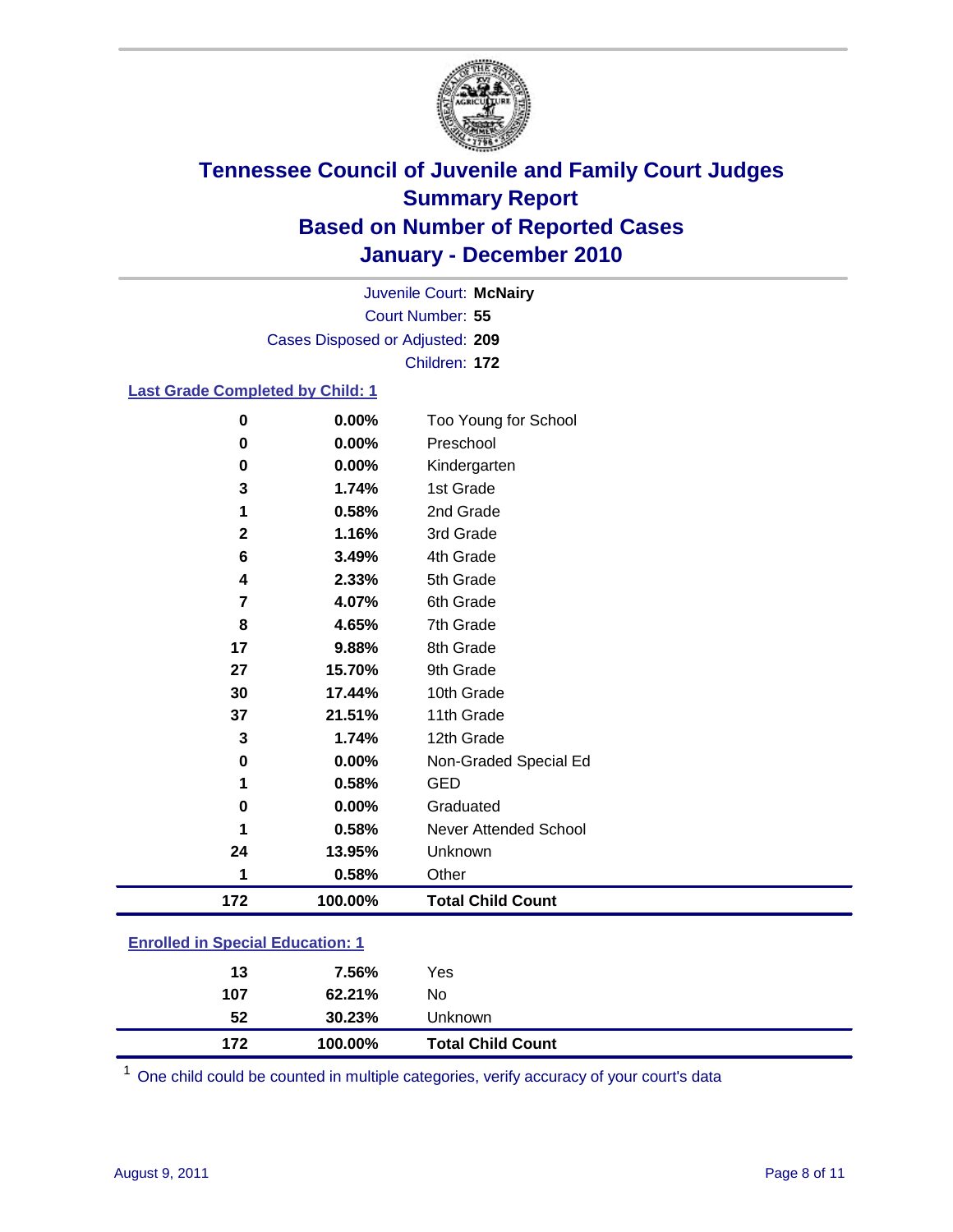

Court Number: **55** Juvenile Court: **McNairy** Cases Disposed or Adjusted: **209** Children: **172**

#### **Last Grade Completed by Child: 1**

| 0                                       | 0.00%   | Too Young for School         |  |
|-----------------------------------------|---------|------------------------------|--|
| $\pmb{0}$                               | 0.00%   | Preschool                    |  |
| $\pmb{0}$                               | 0.00%   | Kindergarten                 |  |
| 3                                       | 1.74%   | 1st Grade                    |  |
| 1                                       | 0.58%   | 2nd Grade                    |  |
| $\mathbf 2$                             | 1.16%   | 3rd Grade                    |  |
| 6                                       | 3.49%   | 4th Grade                    |  |
| 4                                       | 2.33%   | 5th Grade                    |  |
| 7                                       | 4.07%   | 6th Grade                    |  |
| 8                                       | 4.65%   | 7th Grade                    |  |
| 17                                      | 9.88%   | 8th Grade                    |  |
| 27                                      | 15.70%  | 9th Grade                    |  |
| 30                                      | 17.44%  | 10th Grade                   |  |
| 37                                      | 21.51%  | 11th Grade                   |  |
| 3                                       | 1.74%   | 12th Grade                   |  |
| 0                                       | 0.00%   | Non-Graded Special Ed        |  |
| 1                                       | 0.58%   | <b>GED</b>                   |  |
| 0                                       | 0.00%   | Graduated                    |  |
| 1                                       | 0.58%   | <b>Never Attended School</b> |  |
| 24                                      | 13.95%  | Unknown                      |  |
| 1                                       | 0.58%   | Other                        |  |
| 172                                     | 100.00% | <b>Total Child Count</b>     |  |
| <b>Enrolled in Special Education: 1</b> |         |                              |  |

| 172 | 100.00% | <b>Total Child Count</b> |  |
|-----|---------|--------------------------|--|
| 52  | 30.23%  | Unknown                  |  |
| 107 | 62.21%  | No.                      |  |
| 13  | 7.56%   | Yes                      |  |
|     |         |                          |  |

One child could be counted in multiple categories, verify accuracy of your court's data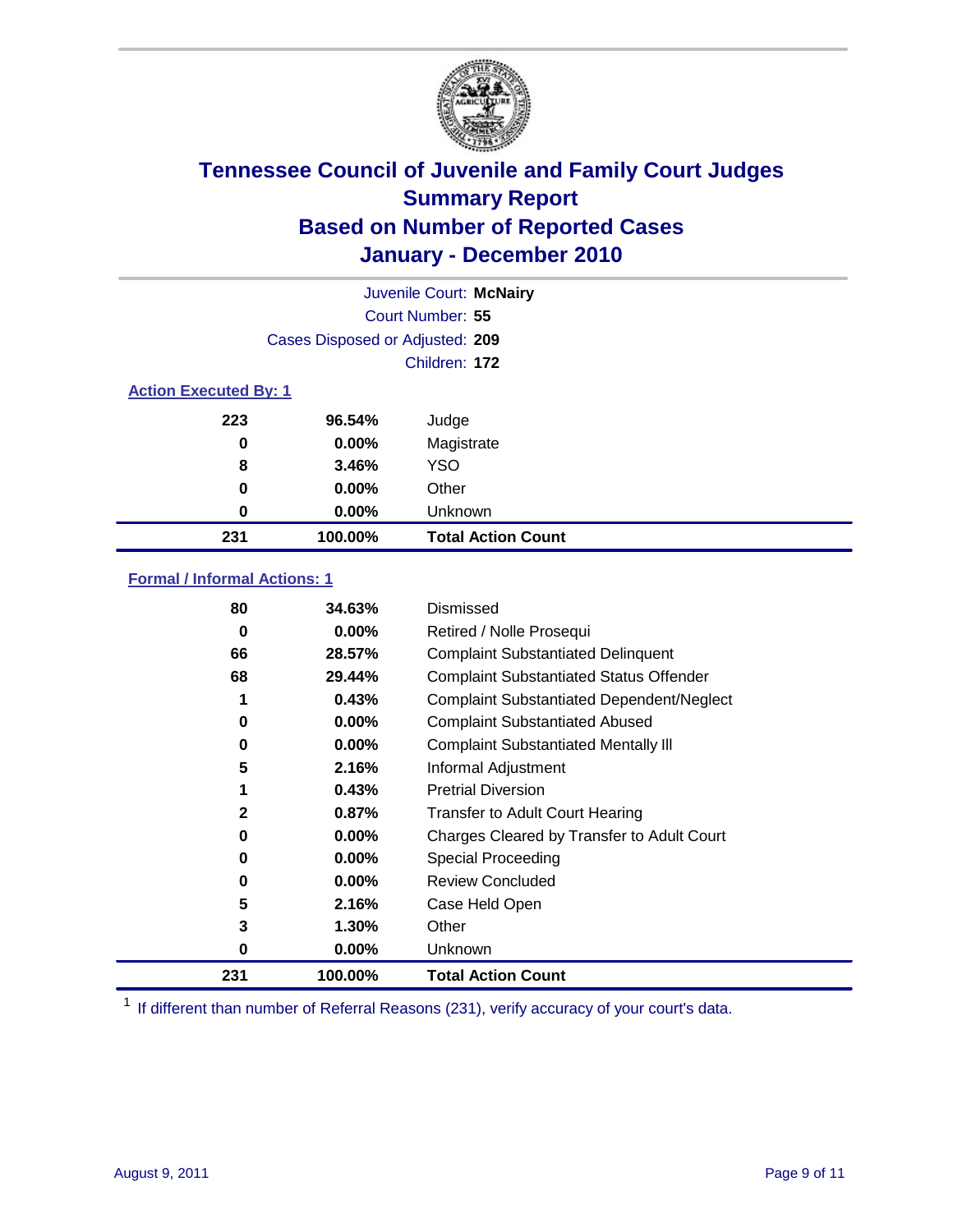

| Juvenile Court: McNairy      |                                 |                           |  |  |
|------------------------------|---------------------------------|---------------------------|--|--|
|                              | <b>Court Number: 55</b>         |                           |  |  |
|                              | Cases Disposed or Adjusted: 209 |                           |  |  |
|                              |                                 | Children: 172             |  |  |
| <b>Action Executed By: 1</b> |                                 |                           |  |  |
| 223                          | 96.54%                          | Judge                     |  |  |
| 0                            | $0.00\%$                        | Magistrate                |  |  |
| 8                            | 3.46%                           | <b>YSO</b>                |  |  |
| 0                            | $0.00\%$                        | Other                     |  |  |
| 0                            | $0.00\%$                        | Unknown                   |  |  |
| 231                          | 100.00%                         | <b>Total Action Count</b> |  |  |

### **Formal / Informal Actions: 1**

| 231 | 100.00%  | <b>Total Action Count</b>                        |
|-----|----------|--------------------------------------------------|
| 0   | $0.00\%$ | Unknown                                          |
| 3   | $1.30\%$ | Other                                            |
| 5   | 2.16%    | Case Held Open                                   |
| 0   | $0.00\%$ | <b>Review Concluded</b>                          |
| 0   | 0.00%    | <b>Special Proceeding</b>                        |
| 0   | $0.00\%$ | Charges Cleared by Transfer to Adult Court       |
| 2   | 0.87%    | <b>Transfer to Adult Court Hearing</b>           |
|     | 0.43%    | <b>Pretrial Diversion</b>                        |
| 5   | 2.16%    | Informal Adjustment                              |
| 0   | $0.00\%$ | <b>Complaint Substantiated Mentally III</b>      |
| 0   | 0.00%    | <b>Complaint Substantiated Abused</b>            |
| 1   | 0.43%    | <b>Complaint Substantiated Dependent/Neglect</b> |
| 68  | 29.44%   | <b>Complaint Substantiated Status Offender</b>   |
| 66  | 28.57%   | <b>Complaint Substantiated Delinquent</b>        |
| 0   | $0.00\%$ | Retired / Nolle Prosequi                         |
| 80  | 34.63%   | Dismissed                                        |

<sup>1</sup> If different than number of Referral Reasons (231), verify accuracy of your court's data.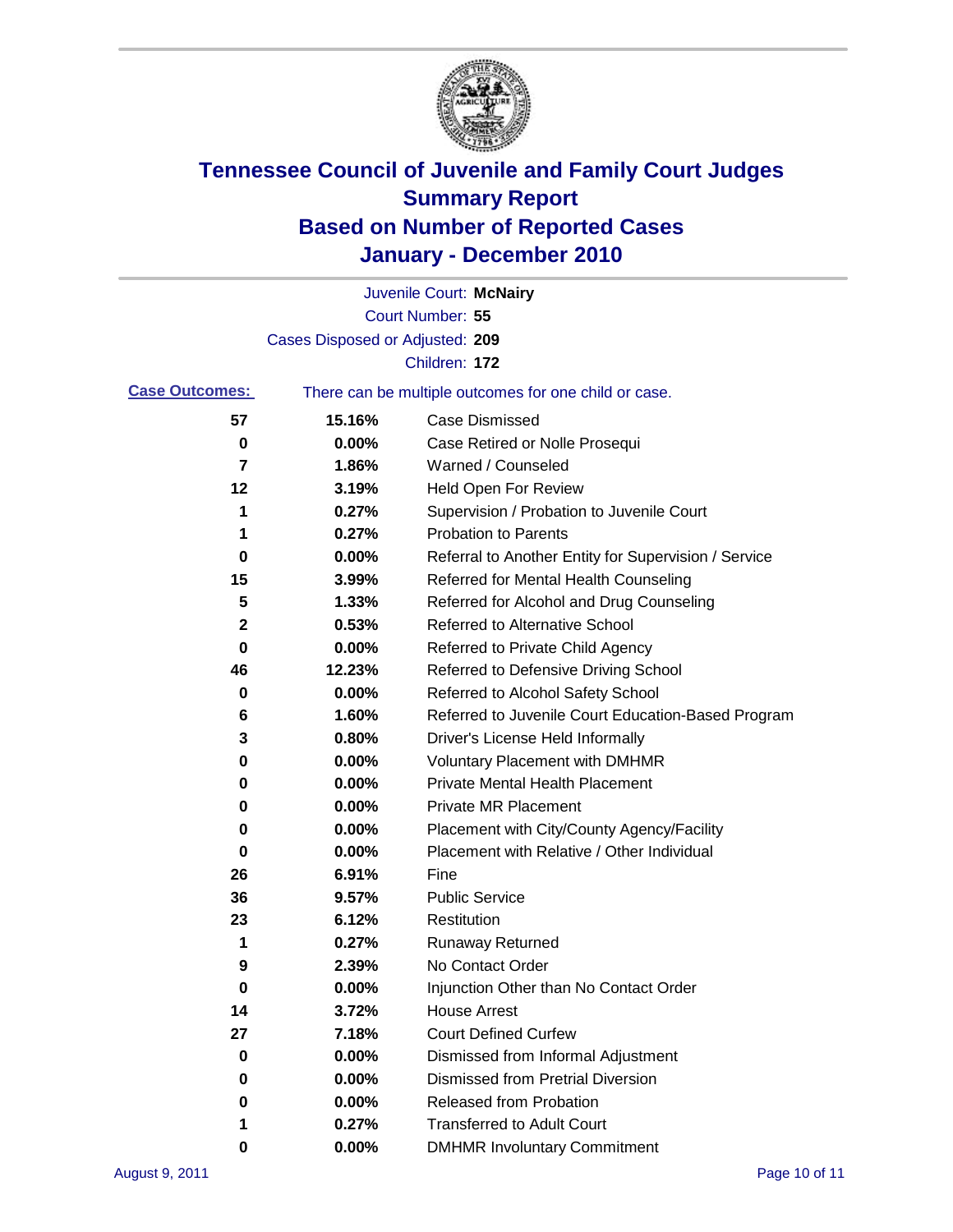

|                       |                                 | Juvenile Court: McNairy                               |
|-----------------------|---------------------------------|-------------------------------------------------------|
|                       |                                 | Court Number: 55                                      |
|                       | Cases Disposed or Adjusted: 209 |                                                       |
|                       |                                 | Children: 172                                         |
| <b>Case Outcomes:</b> |                                 | There can be multiple outcomes for one child or case. |
| 57                    | 15.16%                          | <b>Case Dismissed</b>                                 |
| 0                     | 0.00%                           | Case Retired or Nolle Prosequi                        |
| 7                     | 1.86%                           | Warned / Counseled                                    |
| 12                    | 3.19%                           | <b>Held Open For Review</b>                           |
| 1                     | 0.27%                           | Supervision / Probation to Juvenile Court             |
| 1                     | 0.27%                           | <b>Probation to Parents</b>                           |
| 0                     | 0.00%                           | Referral to Another Entity for Supervision / Service  |
| 15                    | 3.99%                           | Referred for Mental Health Counseling                 |
| 5                     | 1.33%                           | Referred for Alcohol and Drug Counseling              |
| 2                     | 0.53%                           | Referred to Alternative School                        |
| 0                     | 0.00%                           | Referred to Private Child Agency                      |
| 46                    | 12.23%                          | Referred to Defensive Driving School                  |
| 0                     | 0.00%                           | Referred to Alcohol Safety School                     |
| 6                     | 1.60%                           | Referred to Juvenile Court Education-Based Program    |
| 3                     | 0.80%                           | Driver's License Held Informally                      |
| 0                     | 0.00%                           | <b>Voluntary Placement with DMHMR</b>                 |
| 0                     | 0.00%                           | <b>Private Mental Health Placement</b>                |
| 0                     | 0.00%                           | <b>Private MR Placement</b>                           |
| 0                     | 0.00%                           | Placement with City/County Agency/Facility            |
| 0                     | 0.00%                           | Placement with Relative / Other Individual            |
| 26                    | 6.91%                           | Fine                                                  |
| 36                    | 9.57%                           | <b>Public Service</b>                                 |
| 23                    | 6.12%                           | Restitution                                           |
| 1                     | 0.27%                           | <b>Runaway Returned</b>                               |
| 9                     | 2.39%                           | No Contact Order                                      |
| 0                     | 0.00%                           | Injunction Other than No Contact Order                |
| 14                    | 3.72%                           | <b>House Arrest</b>                                   |
| 27                    | 7.18%                           | <b>Court Defined Curfew</b>                           |
| 0                     | 0.00%                           | Dismissed from Informal Adjustment                    |
| 0                     | 0.00%                           | <b>Dismissed from Pretrial Diversion</b>              |
| 0                     | 0.00%                           | Released from Probation                               |
| 1                     | 0.27%                           | <b>Transferred to Adult Court</b>                     |
| 0                     | 0.00%                           | <b>DMHMR Involuntary Commitment</b>                   |